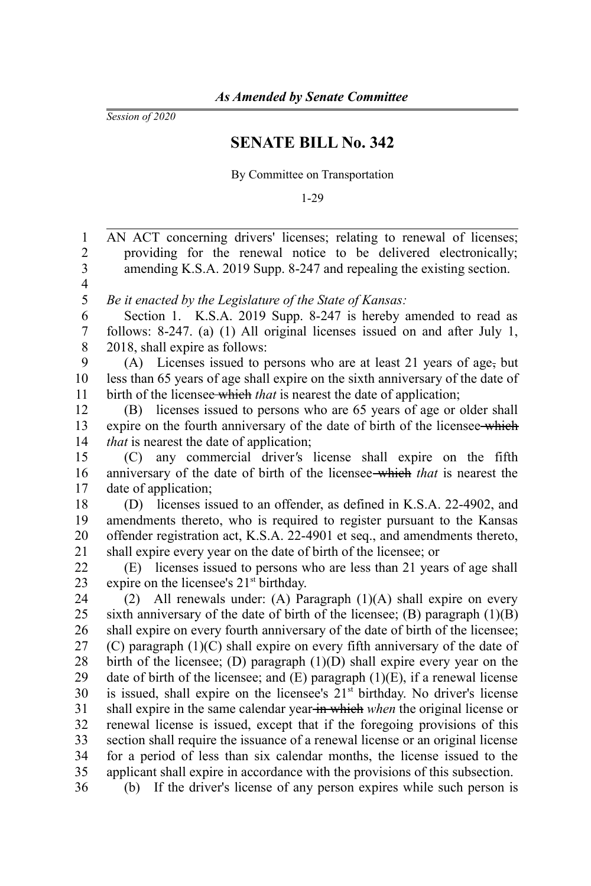*Session of 2020*

## **SENATE BILL No. 342**

By Committee on Transportation

1-29

AN ACT concerning drivers' licenses; relating to renewal of licenses; providing for the renewal notice to be delivered electronically; amending K.S.A. 2019 Supp. 8-247 and repealing the existing section. *Be it enacted by the Legislature of the State of Kansas:* Section 1. K.S.A. 2019 Supp. 8-247 is hereby amended to read as follows: 8-247. (a) (1) All original licenses issued on and after July 1, 2018, shall expire as follows: (A) Licenses issued to persons who are at least 21 years of age, but less than 65 years of age shall expire on the sixth anniversary of the date of birth of the licensee which *that* is nearest the date of application; (B) licenses issued to persons who are 65 years of age or older shall expire on the fourth anniversary of the date of birth of the licensee-which *that* is nearest the date of application; (C) any commercial driver*'*s license shall expire on the fifth anniversary of the date of birth of the licensee which *that* is nearest the date of application; (D) licenses issued to an offender, as defined in K.S.A. 22-4902, and amendments thereto, who is required to register pursuant to the Kansas offender registration act, K.S.A. 22-4901 et seq., and amendments thereto, shall expire every year on the date of birth of the licensee; or (E) licenses issued to persons who are less than 21 years of age shall expire on the licensee's  $21<sup>st</sup>$  birthday. (2) All renewals under: (A) Paragraph (1)(A) shall expire on every sixth anniversary of the date of birth of the licensee; (B) paragraph  $(1)(B)$ shall expire on every fourth anniversary of the date of birth of the licensee; (C) paragraph (1)(C) shall expire on every fifth anniversary of the date of birth of the licensee; (D) paragraph (1)(D) shall expire every year on the date of birth of the licensee; and  $(E)$  paragraph  $(1)(E)$ , if a renewal license is issued, shall expire on the licensee's  $21<sup>st</sup>$  birthday. No driver's license shall expire in the same calendar year in which *when* the original license or renewal license is issued, except that if the foregoing provisions of this section shall require the issuance of a renewal license or an original license for a period of less than six calendar months, the license issued to the applicant shall expire in accordance with the provisions of this subsection. (b) If the driver's license of any person expires while such person is 1 2 3 4 5 6 7 8 9 10 11 12 13 14 15 16 17 18 19 20 21 22 23 24 25 26 27 28 29 30 31 32 33 34 35 36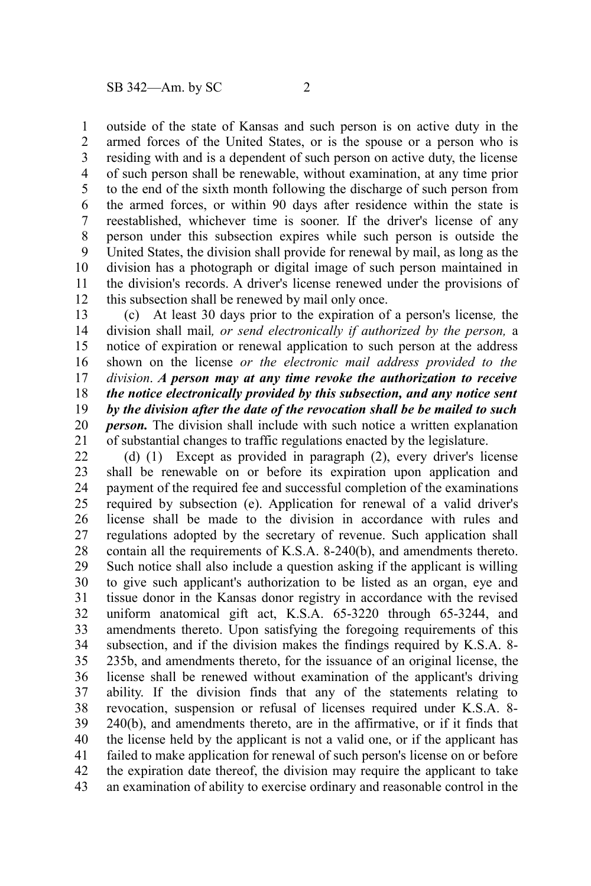outside of the state of Kansas and such person is on active duty in the armed forces of the United States, or is the spouse or a person who is residing with and is a dependent of such person on active duty, the license of such person shall be renewable, without examination, at any time prior to the end of the sixth month following the discharge of such person from the armed forces, or within 90 days after residence within the state is reestablished, whichever time is sooner. If the driver's license of any person under this subsection expires while such person is outside the United States, the division shall provide for renewal by mail, as long as the division has a photograph or digital image of such person maintained in the division's records. A driver's license renewed under the provisions of this subsection shall be renewed by mail only once. 1 2 3 4 5 6 7 8 9 10 11 12

(c) At least 30 days prior to the expiration of a person's license*,* the division shall mail*, or send electronically if authorized by the person,* a notice of expiration or renewal application to such person at the address shown on the license *or the electronic mail address provided to the division*. *A person may at any time revoke the authorization to receive the notice electronically provided by this subsection, and any notice sent by the division after the date of the revocation shall be be mailed to such person.* The division shall include with such notice a written explanation of substantial changes to traffic regulations enacted by the legislature. 13 14 15 16 17 18 19 20 21

(d) (1) Except as provided in paragraph (2), every driver's license shall be renewable on or before its expiration upon application and payment of the required fee and successful completion of the examinations required by subsection (e). Application for renewal of a valid driver's license shall be made to the division in accordance with rules and regulations adopted by the secretary of revenue. Such application shall contain all the requirements of K.S.A. 8-240(b), and amendments thereto. Such notice shall also include a question asking if the applicant is willing to give such applicant's authorization to be listed as an organ, eye and tissue donor in the Kansas donor registry in accordance with the revised uniform anatomical gift act, K.S.A. 65-3220 through 65-3244, and amendments thereto. Upon satisfying the foregoing requirements of this subsection, and if the division makes the findings required by K.S.A. 8- 235b, and amendments thereto, for the issuance of an original license, the license shall be renewed without examination of the applicant's driving ability. If the division finds that any of the statements relating to revocation, suspension or refusal of licenses required under K.S.A. 8- 240(b), and amendments thereto, are in the affirmative, or if it finds that the license held by the applicant is not a valid one, or if the applicant has failed to make application for renewal of such person's license on or before the expiration date thereof, the division may require the applicant to take an examination of ability to exercise ordinary and reasonable control in the 22 23 24 25 26 27 28 29 30 31 32 33 34 35 36 37 38 39 40 41 42 43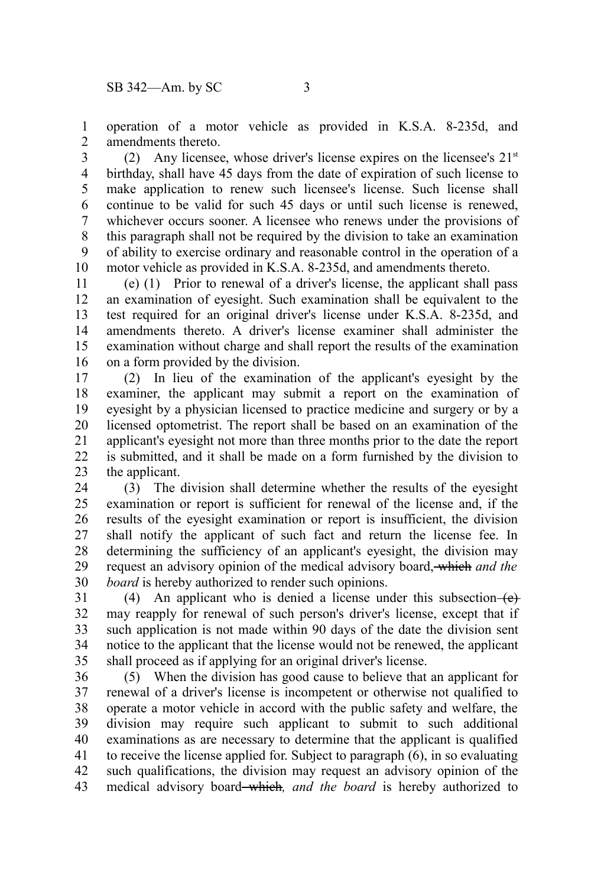operation of a motor vehicle as provided in K.S.A. 8-235d, and amendments thereto. 1 2

(2) Any licensee, whose driver's license expires on the licensee's  $21<sup>st</sup>$ birthday, shall have 45 days from the date of expiration of such license to make application to renew such licensee's license. Such license shall continue to be valid for such 45 days or until such license is renewed, whichever occurs sooner. A licensee who renews under the provisions of this paragraph shall not be required by the division to take an examination of ability to exercise ordinary and reasonable control in the operation of a motor vehicle as provided in K.S.A. 8-235d, and amendments thereto. 3 4 5 6 7 8 9 10

(e) (1) Prior to renewal of a driver's license, the applicant shall pass an examination of eyesight. Such examination shall be equivalent to the test required for an original driver's license under K.S.A. 8-235d, and amendments thereto. A driver's license examiner shall administer the examination without charge and shall report the results of the examination on a form provided by the division. 11 12 13 14 15 16

(2) In lieu of the examination of the applicant's eyesight by the examiner, the applicant may submit a report on the examination of eyesight by a physician licensed to practice medicine and surgery or by a licensed optometrist. The report shall be based on an examination of the applicant's eyesight not more than three months prior to the date the report is submitted, and it shall be made on a form furnished by the division to the applicant. 17 18 19 20 21 22 23

(3) The division shall determine whether the results of the eyesight examination or report is sufficient for renewal of the license and, if the results of the eyesight examination or report is insufficient, the division shall notify the applicant of such fact and return the license fee. In determining the sufficiency of an applicant's eyesight, the division may request an advisory opinion of the medical advisory board, which *and the board* is hereby authorized to render such opinions. 24 25 26 27 28 29 30

(4) An applicant who is denied a license under this subsection  $\left\{ \right.$   $\left\{ \right\}$ may reapply for renewal of such person's driver's license, except that if such application is not made within 90 days of the date the division sent notice to the applicant that the license would not be renewed, the applicant shall proceed as if applying for an original driver's license. 31 32 33 34 35

(5) When the division has good cause to believe that an applicant for renewal of a driver's license is incompetent or otherwise not qualified to operate a motor vehicle in accord with the public safety and welfare, the division may require such applicant to submit to such additional examinations as are necessary to determine that the applicant is qualified to receive the license applied for. Subject to paragraph (6), in so evaluating such qualifications, the division may request an advisory opinion of the medical advisory board which*, and the board* is hereby authorized to 36 37 38 39 40 41 42 43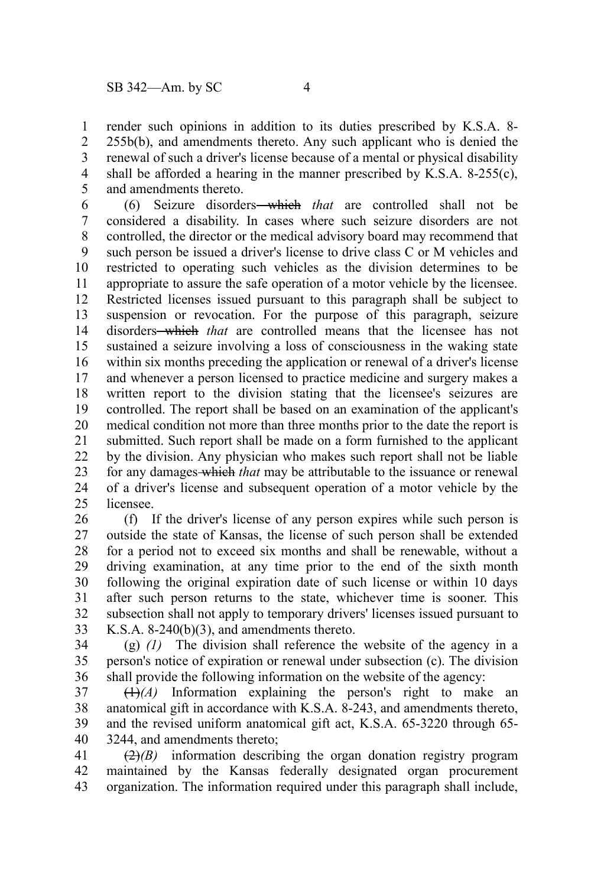render such opinions in addition to its duties prescribed by K.S.A. 8- 255b(b), and amendments thereto. Any such applicant who is denied the renewal of such a driver's license because of a mental or physical disability shall be afforded a hearing in the manner prescribed by K.S.A. 8-255(c), and amendments thereto. 1 2 3 4 5

(6) Seizure disorders which *that* are controlled shall not be considered a disability. In cases where such seizure disorders are not controlled, the director or the medical advisory board may recommend that such person be issued a driver's license to drive class C or M vehicles and restricted to operating such vehicles as the division determines to be appropriate to assure the safe operation of a motor vehicle by the licensee. Restricted licenses issued pursuant to this paragraph shall be subject to suspension or revocation. For the purpose of this paragraph, seizure disorders<del> which</del> that are controlled means that the licensee has not sustained a seizure involving a loss of consciousness in the waking state within six months preceding the application or renewal of a driver's license and whenever a person licensed to practice medicine and surgery makes a written report to the division stating that the licensee's seizures are controlled. The report shall be based on an examination of the applicant's medical condition not more than three months prior to the date the report is submitted. Such report shall be made on a form furnished to the applicant by the division. Any physician who makes such report shall not be liable for any damages which *that* may be attributable to the issuance or renewal of a driver's license and subsequent operation of a motor vehicle by the licensee. 6 7 8 9 10 11 12 13 14 15 16 17 18 19 20 21 22 23 24  $25$ 

(f) If the driver's license of any person expires while such person is outside the state of Kansas, the license of such person shall be extended for a period not to exceed six months and shall be renewable, without a driving examination, at any time prior to the end of the sixth month following the original expiration date of such license or within 10 days after such person returns to the state, whichever time is sooner. This subsection shall not apply to temporary drivers' licenses issued pursuant to K.S.A. 8-240(b)(3), and amendments thereto. 26 27 28 29 30 31 32 33

(g) *(1)* The division shall reference the website of the agency in a person's notice of expiration or renewal under subsection (c). The division shall provide the following information on the website of the agency: 34 35 36

 $(1)$ <sup>(A)</sup> Information explaining the person's right to make an anatomical gift in accordance with K.S.A. 8-243, and amendments thereto, and the revised uniform anatomical gift act, K.S.A. 65-3220 through 65- 3244, and amendments thereto; 37 38 39 40

(2)*(B)* information describing the organ donation registry program maintained by the Kansas federally designated organ procurement organization. The information required under this paragraph shall include, 41 42 43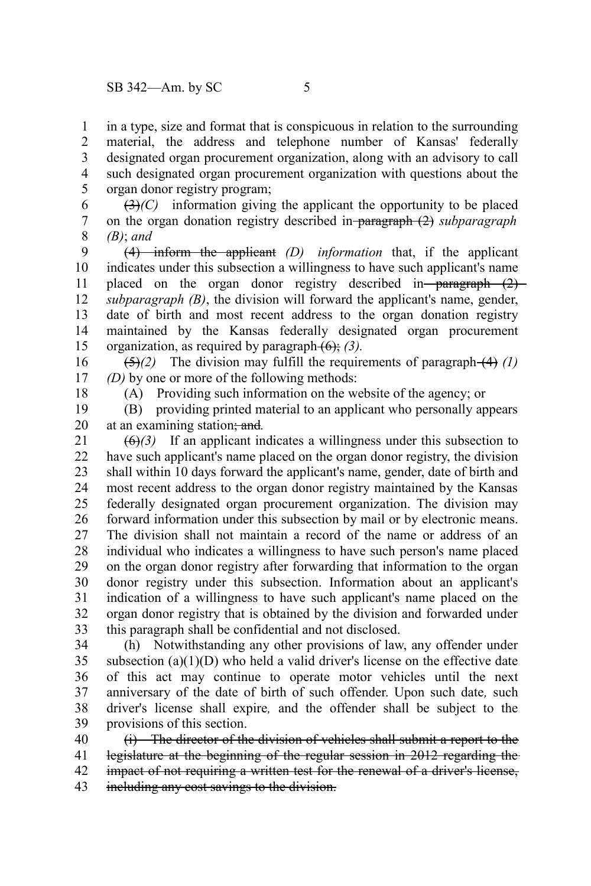in a type, size and format that is conspicuous in relation to the surrounding material, the address and telephone number of Kansas' federally designated organ procurement organization, along with an advisory to call such designated organ procurement organization with questions about the organ donor registry program; 1 2 3 4 5

 $(3)$ *(C)* information giving the applicant the opportunity to be placed on the organ donation registry described in paragraph (2) *subparagraph (B)*; *and* 6 7 8

(4) inform the applicant *(D) information* that, if the applicant indicates under this subsection a willingness to have such applicant's name placed on the organ donor registry described in paragraph  $(2)$ *subparagraph (B)*, the division will forward the applicant's name, gender, date of birth and most recent address to the organ donation registry maintained by the Kansas federally designated organ procurement organization, as required by paragraph (6); *(3).* 9 10 11 12 13 14 15

 $(5)(2)$  The division may fulfill the requirements of paragraph  $(4)$   $(1)$ *(D)* by one or more of the following methods: 16 17

18

(A) Providing such information on the website of the agency; or

(B) providing printed material to an applicant who personally appears at an examining station; and*.* 19 20

 $\left(\frac{\theta}{\theta}\right)$  If an applicant indicates a willingness under this subsection to have such applicant's name placed on the organ donor registry, the division shall within 10 days forward the applicant's name, gender, date of birth and most recent address to the organ donor registry maintained by the Kansas federally designated organ procurement organization. The division may forward information under this subsection by mail or by electronic means. The division shall not maintain a record of the name or address of an individual who indicates a willingness to have such person's name placed on the organ donor registry after forwarding that information to the organ donor registry under this subsection. Information about an applicant's indication of a willingness to have such applicant's name placed on the organ donor registry that is obtained by the division and forwarded under this paragraph shall be confidential and not disclosed. 21 22 23 24 25 26 27 28 29 30 31 32 33

(h) Notwithstanding any other provisions of law, any offender under subsection  $(a)(1)(D)$  who held a valid driver's license on the effective date of this act may continue to operate motor vehicles until the next anniversary of the date of birth of such offender. Upon such date*,* such driver's license shall expire*,* and the offender shall be subject to the provisions of this section. 34 35 36 37 38 39

(i) The director of the division of vehicles shall submit a report to the legislature at the beginning of the regular session in 2012 regarding the impact of not requiring a written test for the renewal of a driver's license, including any cost savings to the division. 40 41 42 43